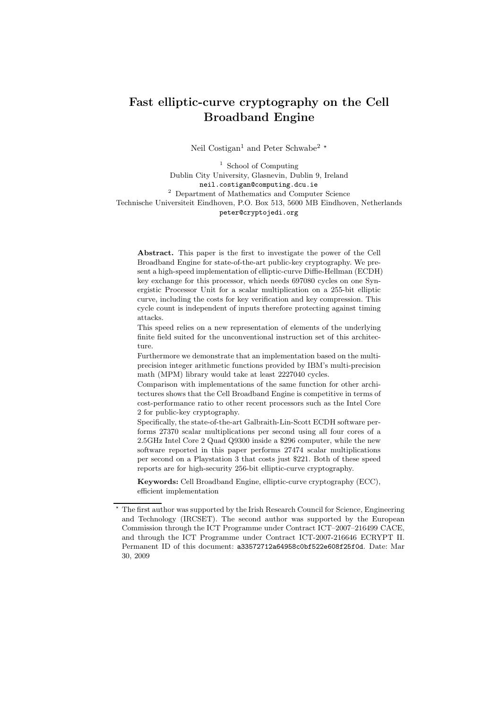# Fast elliptic-curve cryptography on the Cell Broadband Engine

Neil Costigan<sup>1</sup> and Peter Schwabe<sup>2</sup>  $\star$ 

<sup>1</sup> School of Computing Dublin City University, Glasnevin, Dublin 9, Ireland neil.costigan@computing.dcu.ie <sup>2</sup> Department of Mathematics and Computer Science Technische Universiteit Eindhoven, P.O. Box 513, 5600 MB Eindhoven, Netherlands peter@cryptojedi.org

Abstract. This paper is the first to investigate the power of the Cell Broadband Engine for state-of-the-art public-key cryptography. We present a high-speed implementation of elliptic-curve Diffie-Hellman (ECDH) key exchange for this processor, which needs 697080 cycles on one Synergistic Processor Unit for a scalar multiplication on a 255-bit elliptic curve, including the costs for key verification and key compression. This cycle count is independent of inputs therefore protecting against timing attacks.

This speed relies on a new representation of elements of the underlying finite field suited for the unconventional instruction set of this architecture.

Furthermore we demonstrate that an implementation based on the multiprecision integer arithmetic functions provided by IBM's multi-precision math (MPM) library would take at least 2227040 cycles.

Comparison with implementations of the same function for other architectures shows that the Cell Broadband Engine is competitive in terms of cost-performance ratio to other recent processors such as the Intel Core 2 for public-key cryptography.

Specifically, the state-of-the-art Galbraith-Lin-Scott ECDH software performs 27370 scalar multiplications per second using all four cores of a 2.5GHz Intel Core 2 Quad Q9300 inside a \$296 computer, while the new software reported in this paper performs 27474 scalar multiplications per second on a Playstation 3 that costs just \$221. Both of these speed reports are for high-security 256-bit elliptic-curve cryptography.

Keywords: Cell Broadband Engine, elliptic-curve cryptography (ECC), efficient implementation

<sup>⋆</sup> The first author was supported by the Irish Research Council for Science, Engineering and Technology (IRCSET). The second author was supported by the European Commission through the ICT Programme under Contract ICT–2007–216499 CACE, and through the ICT Programme under Contract ICT-2007-216646 ECRYPT II. Permanent ID of this document: a33572712a64958c0bf522e608f25f0d. Date: Mar 30, 2009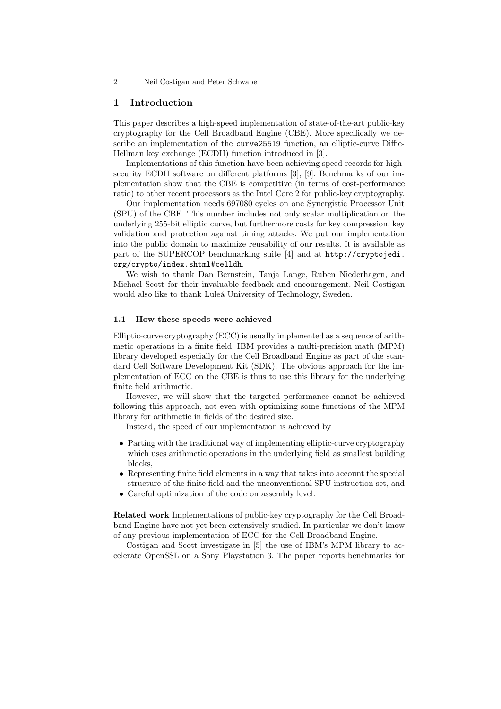## 1 Introduction

This paper describes a high-speed implementation of state-of-the-art public-key cryptography for the Cell Broadband Engine (CBE). More specifically we describe an implementation of the curve25519 function, an elliptic-curve Diffie-Hellman key exchange (ECDH) function introduced in [3].

Implementations of this function have been achieving speed records for highsecurity ECDH software on different platforms [3], [9]. Benchmarks of our implementation show that the CBE is competitive (in terms of cost-performance ratio) to other recent processors as the Intel Core 2 for public-key cryptography.

Our implementation needs 697080 cycles on one Synergistic Processor Unit (SPU) of the CBE. This number includes not only scalar multiplication on the underlying 255-bit elliptic curve, but furthermore costs for key compression, key validation and protection against timing attacks. We put our implementation into the public domain to maximize reusability of our results. It is available as part of the SUPERCOP benchmarking suite [4] and at http://cryptojedi. org/crypto/index.shtml#celldh.

We wish to thank Dan Bernstein, Tanja Lange, Ruben Niederhagen, and Michael Scott for their invaluable feedback and encouragement. Neil Costigan would also like to thank Luleå University of Technology, Sweden.

### 1.1 How these speeds were achieved

Elliptic-curve cryptography (ECC) is usually implemented as a sequence of arithmetic operations in a finite field. IBM provides a multi-precision math (MPM) library developed especially for the Cell Broadband Engine as part of the standard Cell Software Development Kit (SDK). The obvious approach for the implementation of ECC on the CBE is thus to use this library for the underlying finite field arithmetic.

However, we will show that the targeted performance cannot be achieved following this approach, not even with optimizing some functions of the MPM library for arithmetic in fields of the desired size.

Instead, the speed of our implementation is achieved by

- Parting with the traditional way of implementing elliptic-curve cryptography which uses arithmetic operations in the underlying field as smallest building blocks,
- Representing finite field elements in a way that takes into account the special structure of the finite field and the unconventional SPU instruction set, and
- Careful optimization of the code on assembly level.

Related work Implementations of public-key cryptography for the Cell Broadband Engine have not yet been extensively studied. In particular we don't know of any previous implementation of ECC for the Cell Broadband Engine.

Costigan and Scott investigate in [5] the use of IBM's MPM library to accelerate OpenSSL on a Sony Playstation 3. The paper reports benchmarks for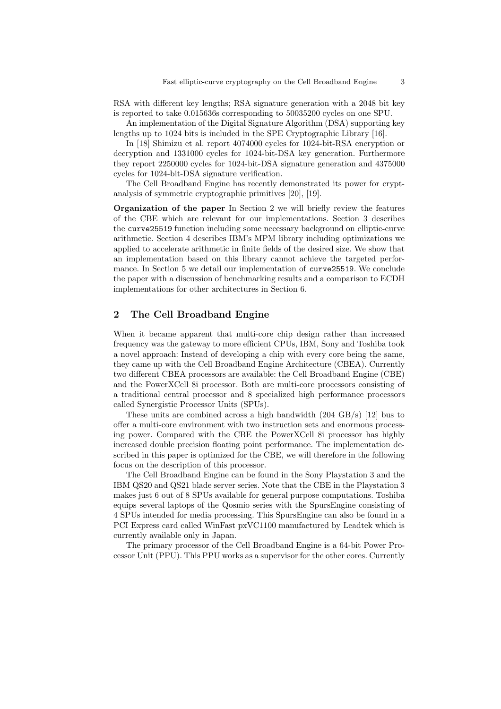RSA with different key lengths; RSA signature generation with a 2048 bit key is reported to take 0.015636s corresponding to 50035200 cycles on one SPU.

An implementation of the Digital Signature Algorithm (DSA) supporting key lengths up to 1024 bits is included in the SPE Cryptographic Library [16].

In [18] Shimizu et al. report 4074000 cycles for 1024-bit-RSA encryption or decryption and 1331000 cycles for 1024-bit-DSA key generation. Furthermore they report 2250000 cycles for 1024-bit-DSA signature generation and 4375000 cycles for 1024-bit-DSA signature verification.

The Cell Broadband Engine has recently demonstrated its power for cryptanalysis of symmetric cryptographic primitives [20], [19].

Organization of the paper In Section 2 we will briefly review the features of the CBE which are relevant for our implementations. Section 3 describes the curve25519 function including some necessary background on elliptic-curve arithmetic. Section 4 describes IBM's MPM library including optimizations we applied to accelerate arithmetic in finite fields of the desired size. We show that an implementation based on this library cannot achieve the targeted performance. In Section 5 we detail our implementation of curve25519. We conclude the paper with a discussion of benchmarking results and a comparison to ECDH implementations for other architectures in Section 6.

# 2 The Cell Broadband Engine

When it became apparent that multi-core chip design rather than increased frequency was the gateway to more efficient CPUs, IBM, Sony and Toshiba took a novel approach: Instead of developing a chip with every core being the same, they came up with the Cell Broadband Engine Architecture (CBEA). Currently two different CBEA processors are available: the Cell Broadband Engine (CBE) and the PowerXCell 8i processor. Both are multi-core processors consisting of a traditional central processor and 8 specialized high performance processors called Synergistic Processor Units (SPUs).

These units are combined across a high bandwidth (204 GB/s) [12] bus to offer a multi-core environment with two instruction sets and enormous processing power. Compared with the CBE the PowerXCell 8i processor has highly increased double precision floating point performance. The implementation described in this paper is optimized for the CBE, we will therefore in the following focus on the description of this processor.

The Cell Broadband Engine can be found in the Sony Playstation 3 and the IBM QS20 and QS21 blade server series. Note that the CBE in the Playstation 3 makes just 6 out of 8 SPUs available for general purpose computations. Toshiba equips several laptops of the Qosmio series with the SpursEngine consisting of 4 SPUs intended for media processing. This SpursEngine can also be found in a PCI Express card called WinFast pxVC1100 manufactured by Leadtek which is currently available only in Japan.

The primary processor of the Cell Broadband Engine is a 64-bit Power Processor Unit (PPU). This PPU works as a supervisor for the other cores. Currently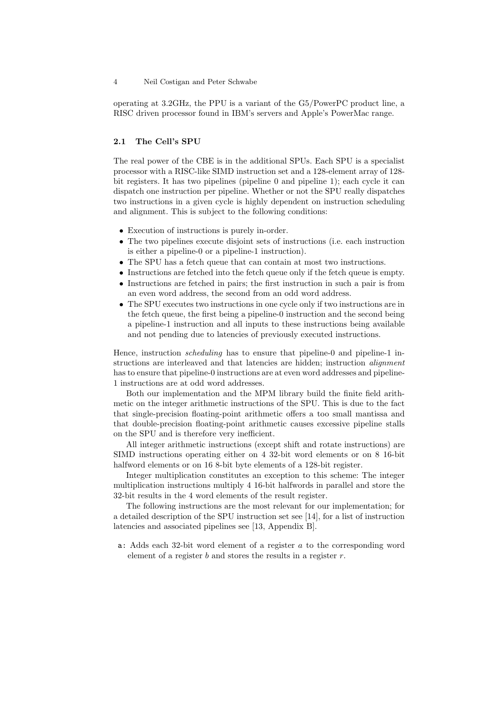operating at 3.2GHz, the PPU is a variant of the G5/PowerPC product line, a RISC driven processor found in IBM's servers and Apple's PowerMac range.

### 2.1 The Cell's SPU

The real power of the CBE is in the additional SPUs. Each SPU is a specialist processor with a RISC-like SIMD instruction set and a 128-element array of 128 bit registers. It has two pipelines (pipeline 0 and pipeline 1); each cycle it can dispatch one instruction per pipeline. Whether or not the SPU really dispatches two instructions in a given cycle is highly dependent on instruction scheduling and alignment. This is subject to the following conditions:

- Execution of instructions is purely in-order.
- The two pipelines execute disjoint sets of instructions (i.e. each instruction is either a pipeline-0 or a pipeline-1 instruction).
- The SPU has a fetch queue that can contain at most two instructions.
- Instructions are fetched into the fetch queue only if the fetch queue is empty.
- Instructions are fetched in pairs; the first instruction in such a pair is from an even word address, the second from an odd word address.
- The SPU executes two instructions in one cycle only if two instructions are in the fetch queue, the first being a pipeline-0 instruction and the second being a pipeline-1 instruction and all inputs to these instructions being available and not pending due to latencies of previously executed instructions.

Hence, instruction scheduling has to ensure that pipeline-0 and pipeline-1 instructions are interleaved and that latencies are hidden; instruction *alignment* has to ensure that pipeline-0 instructions are at even word addresses and pipeline-1 instructions are at odd word addresses.

Both our implementation and the MPM library build the finite field arithmetic on the integer arithmetic instructions of the SPU. This is due to the fact that single-precision floating-point arithmetic offers a too small mantissa and that double-precision floating-point arithmetic causes excessive pipeline stalls on the SPU and is therefore very inefficient.

All integer arithmetic instructions (except shift and rotate instructions) are SIMD instructions operating either on 4 32-bit word elements or on 8 16-bit halfword elements or on 16 8-bit byte elements of a 128-bit register.

Integer multiplication constitutes an exception to this scheme: The integer multiplication instructions multiply 4 16-bit halfwords in parallel and store the 32-bit results in the 4 word elements of the result register.

The following instructions are the most relevant for our implementation; for a detailed description of the SPU instruction set see [14], for a list of instruction latencies and associated pipelines see [13, Appendix B].

a: Adds each 32-bit word element of a register a to the corresponding word element of a register  $b$  and stores the results in a register  $r$ .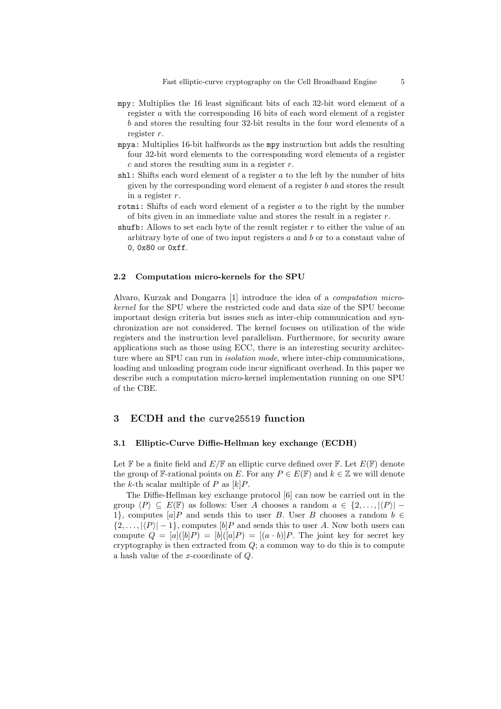- mpy: Multiplies the 16 least significant bits of each 32-bit word element of a register a with the corresponding 16 bits of each word element of a register b and stores the resulting four 32-bit results in the four word elements of a register r.
- mpya: Multiplies 16-bit halfwords as the mpy instruction but adds the resulting four 32-bit word elements to the corresponding word elements of a register  $c$  and stores the resulting sum in a register  $r$ .
- shl: Shifts each word element of a register  $a$  to the left by the number of bits given by the corresponding word element of a register b and stores the result in a register r.
- rotmi: Shifts of each word element of a register a to the right by the number of bits given in an immediate value and stores the result in a register  $r$ .
- shufb: Allows to set each byte of the result register  $r$  to either the value of an arbitrary byte of one of two input registers a and b or to a constant value of 0, 0x80 or 0xff.

#### 2.2 Computation micro-kernels for the SPU

Alvaro, Kurzak and Dongarra [1] introduce the idea of a computation microkernel for the SPU where the restricted code and data size of the SPU become important design criteria but issues such as inter-chip communication and synchronization are not considered. The kernel focuses on utilization of the wide registers and the instruction level parallelism. Furthermore, for security aware applications such as those using ECC, there is an interesting security architecture where an SPU can run in *isolation mode*, where inter-chip communications, loading and unloading program code incur significant overhead. In this paper we describe such a computation micro-kernel implementation running on one SPU of the CBE.

# 3 ECDH and the curve25519 function

### 3.1 Elliptic-Curve Diffie-Hellman key exchange (ECDH)

Let  $\mathbb F$  be a finite field and  $E/\mathbb F$  an elliptic curve defined over  $\mathbb F$ . Let  $E(\mathbb F)$  denote the group of F-rational points on E. For any  $P \in E(\mathbb{F})$  and  $k \in \mathbb{Z}$  we will denote the k-th scalar multiple of  $P$  as  $[k]P$ .

The Diffie-Hellman key exchange protocol [6] can now be carried out in the group  $\langle P \rangle \subseteq E(\mathbb{F})$  as follows: User A chooses a random  $a \in \{2, \ldots, |\langle P \rangle| -$ 1}, computes [a]P and sends this to user B. User B chooses a random  $b \in$  $\{2,\ldots,|\langle P\rangle| - 1\}$ , computes  $[b]P$  and sends this to user A. Now both users can compute  $Q = [a]([b]P) = [b]([a]P) = [(a \cdot b)]P$ . The joint key for secret key cryptography is then extracted from  $Q$ ; a common way to do this is to compute a hash value of the x-coordinate of Q.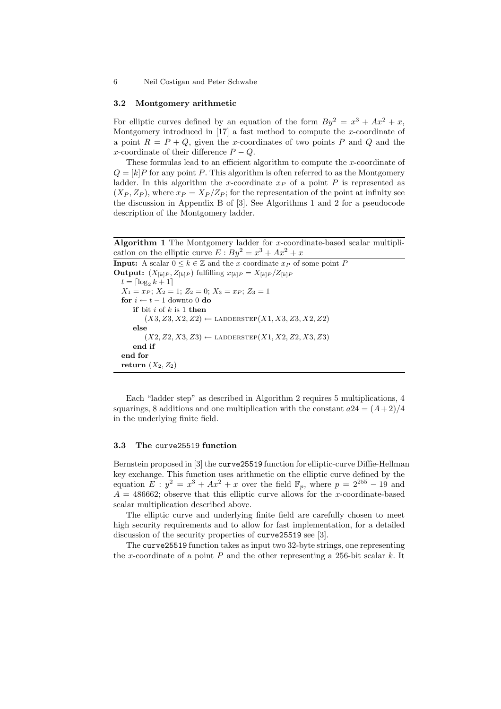#### 3.2 Montgomery arithmetic

For elliptic curves defined by an equation of the form  $By^2 = x^3 + Ax^2 + x$ , Montgomery introduced in  $[17]$  a fast method to compute the x-coordinate of a point  $R = P + Q$ , given the x-coordinates of two points P and Q and the x-coordinate of their difference  $P - Q$ .

These formulas lead to an efficient algorithm to compute the x-coordinate of  $Q = [k]P$  for any point P. This algorithm is often referred to as the Montgomery ladder. In this algorithm the x-coordinate  $x_P$  of a point P is represented as  $(X_P, Z_P)$ , where  $x_P = X_P/Z_P$ ; for the representation of the point at infinity see the discussion in Appendix B of [3]. See Algorithms 1 and 2 for a pseudocode description of the Montgomery ladder.

Algorithm 1 The Montgomery ladder for x-coordinate-based scalar multiplication on the elliptic curve  $E : By^2 = x^3 + Ax^2 + x$ 

```
Input: A scalar 0 \leq k \in \mathbb{Z} and the x-coordinate x_P of some point P
Output: (X_{[k]P}, Z_{[k]P}) fulfilling x_{[k]P} = X_{[k]P}/Z_{[k]P}t = \lceil \log_2 k + 1 \rceilX_1 = x_P; X_2 = 1; Z_2 = 0; X_3 = x_P; Z_3 = 1for i \leftarrow t - 1 downto 0 do
      if bit i of k is 1 then
          (X3, Z3, X2, Z2) \leftarrow \text{LADDERSTEP}(X1, X3, Z3, X2, Z2)else
          (X2, Z2, X3, Z3) \leftarrow LADDERSTEP(X1, X2, Z2, X3, Z3)end if
  end for
  return (X_2, Z_2)
```
Each "ladder step" as described in Algorithm 2 requires 5 multiplications, 4 squarings, 8 additions and one multiplication with the constant  $a24 = (A+2)/4$ in the underlying finite field.

### 3.3 The curve25519 function

Bernstein proposed in [3] the curve25519 function for elliptic-curve Diffie-Hellman key exchange. This function uses arithmetic on the elliptic curve defined by the equation  $E : y^2 = x^3 + Ax^2 + x$  over the field  $\mathbb{F}_p$ , where  $p = 2^{255} - 19$  and  $A = 486662$ ; observe that this elliptic curve allows for the x-coordinate-based scalar multiplication described above.

The elliptic curve and underlying finite field are carefully chosen to meet high security requirements and to allow for fast implementation, for a detailed discussion of the security properties of curve25519 see [3].

The curve25519 function takes as input two 32-byte strings, one representing the x-coordinate of a point  $P$  and the other representing a 256-bit scalar  $k$ . It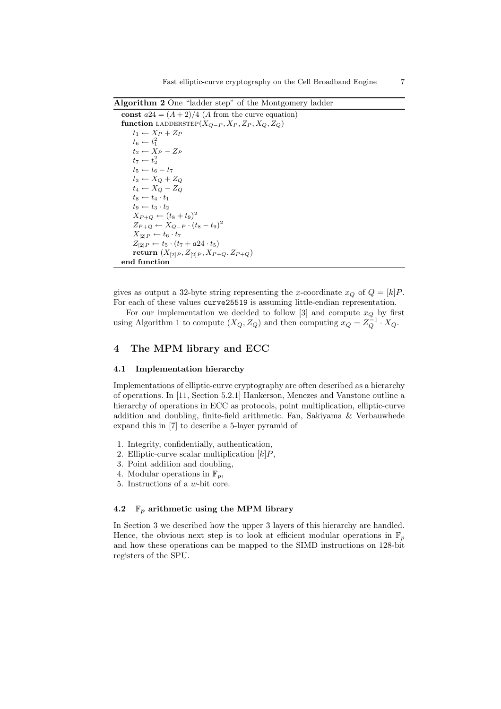Algorithm 2 One "ladder step" of the Montgomery ladder

const  $a24 = (A + 2)/4$  (A from the curve equation) function LADDERSTEP $(X_{Q-P}, X_P, Z_P, X_Q, Z_Q)$  $t_1 \leftarrow X_P + Z_P$  $t_6 \leftarrow t_1^2$  $t_2 \leftarrow X_P - Z_P$  $t_7 \leftarrow t_2^2$  $t_5 \leftarrow t_6 - t_7$  $t_3 \leftarrow X_Q + Z_Q$  $t_4 \leftarrow X_Q - Z_Q$  $t_8 \leftarrow t_4 \cdot t_1$  $t_9 \leftarrow t_3 \cdot t_2$  $X_{P+Q} \leftarrow (t_8 + t_9)^2$  $Z_{P+Q} \leftarrow X_{Q-P} \cdot (t_8-t_9)^2$  $X_{[2]P} \leftarrow t_6 \cdot t_7$  $Z_{[2]P} \leftarrow t_5 \cdot (t_7 + a24 \cdot t_5)$ return  $(X_{[2]P}, Z_{[2]P}, X_{P+Q}, Z_{P+Q})$ end function

gives as output a 32-byte string representing the x-coordinate  $x_Q$  of  $Q = [k]P$ . For each of these values curve25519 is assuming little-endian representation.

For our implementation we decided to follow [3] and compute  $x_Q$  by first using Algorithm 1 to compute  $(X_Q, Z_Q)$  and then computing  $x_Q = Z_Q^{-1} \cdot X_Q$ .

# 4 The MPM library and ECC

### 4.1 Implementation hierarchy

Implementations of elliptic-curve cryptography are often described as a hierarchy of operations. In [11, Section 5.2.1] Hankerson, Menezes and Vanstone outline a hierarchy of operations in ECC as protocols, point multiplication, elliptic-curve addition and doubling, finite-field arithmetic. Fan, Sakiyama & Verbauwhede expand this in [7] to describe a 5-layer pyramid of

- 1. Integrity, confidentially, authentication,
- 2. Elliptic-curve scalar multiplication  $[k]P$ ,
- 3. Point addition and doubling,
- 4. Modular operations in  $\mathbb{F}_p$ ,
- 5. Instructions of a w-bit core.

### 4.2  $\mathbb{F}_p$  arithmetic using the MPM library

In Section 3 we described how the upper 3 layers of this hierarchy are handled. Hence, the obvious next step is to look at efficient modular operations in  $\mathbb{F}_n$ and how these operations can be mapped to the SIMD instructions on 128-bit registers of the SPU.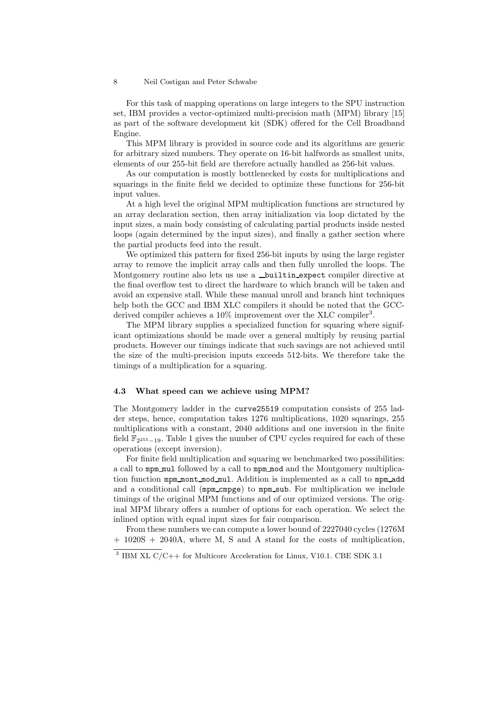For this task of mapping operations on large integers to the SPU instruction set, IBM provides a vector-optimized multi-precision math (MPM) library [15] as part of the software development kit (SDK) offered for the Cell Broadband Engine.

This MPM library is provided in source code and its algorithms are generic for arbitrary sized numbers. They operate on 16-bit halfwords as smallest units, elements of our 255-bit field are therefore actually handled as 256-bit values.

As our computation is mostly bottlenecked by costs for multiplications and squarings in the finite field we decided to optimize these functions for 256-bit input values.

At a high level the original MPM multiplication functions are structured by an array declaration section, then array initialization via loop dictated by the input sizes, a main body consisting of calculating partial products inside nested loops (again determined by the input sizes), and finally a gather section where the partial products feed into the result.

We optimized this pattern for fixed 256-bit inputs by using the large register array to remove the implicit array calls and then fully unrolled the loops. The Montgomery routine also lets us use a **\_builtin** expect compiler directive at the final overflow test to direct the hardware to which branch will be taken and avoid an expensive stall. While these manual unroll and branch hint techniques help both the GCC and IBM XLC compilers it should be noted that the GCCderived compiler achieves a  $10\%$  improvement over the XLC compiler<sup>3</sup>.

The MPM library supplies a specialized function for squaring where significant optimizations should be made over a general multiply by reusing partial products. However our timings indicate that such savings are not achieved until the size of the multi-precision inputs exceeds 512-bits. We therefore take the timings of a multiplication for a squaring.

#### 4.3 What speed can we achieve using MPM?

The Montgomery ladder in the curve25519 computation consists of 255 ladder steps, hence, computation takes 1276 multiplications, 1020 squarings, 255 multiplications with a constant, 2040 additions and one inversion in the finite field  $\mathbb{F}_{2^{255}-19}$ . Table 1 gives the number of CPU cycles required for each of these operations (except inversion).

For finite field multiplication and squaring we benchmarked two possibilities: a call to mpm mul followed by a call to mpm mod and the Montgomery multiplication function mpm mont mod mul. Addition is implemented as a call to mpm add and a conditional call (mpm cmpge) to mpm sub. For multiplication we include timings of the original MPM functions and of our optimized versions. The original MPM library offers a number of options for each operation. We select the inlined option with equal input sizes for fair comparison.

From these numbers we can compute a lower bound of 2227040 cycles (1276M + 1020S + 2040A, where M, S and A stand for the costs of multiplication,

<sup>3</sup> IBM XL C/C++ for Multicore Acceleration for Linux, V10.1. CBE SDK 3.1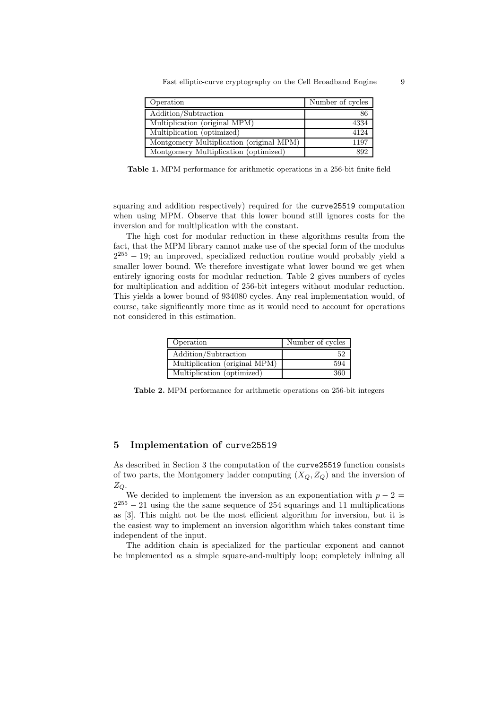Fast elliptic-curve cryptography on the Cell Broadband Engine 9

| Operation                                | Number of cycles |
|------------------------------------------|------------------|
| Addition/Subtraction                     | 86               |
| Multiplication (original MPM)            | 4334             |
| Multiplication (optimized)               | 4124             |
| Montgomery Multiplication (original MPM) | 1197             |
| Montgomery Multiplication (optimized)    | 892              |

Table 1. MPM performance for arithmetic operations in a 256-bit finite field

squaring and addition respectively) required for the curve25519 computation when using MPM. Observe that this lower bound still ignores costs for the inversion and for multiplication with the constant.

The high cost for modular reduction in these algorithms results from the fact, that the MPM library cannot make use of the special form of the modulus  $2^{255} - 19$ ; an improved, specialized reduction routine would probably yield a smaller lower bound. We therefore investigate what lower bound we get when entirely ignoring costs for modular reduction. Table 2 gives numbers of cycles for multiplication and addition of 256-bit integers without modular reduction. This yields a lower bound of 934080 cycles. Any real implementation would, of course, take significantly more time as it would need to account for operations not considered in this estimation.

| Operation                     | Number of cycles |
|-------------------------------|------------------|
| Addition/Subtraction          | 52               |
| Multiplication (original MPM) | 594              |
| Multiplication (optimized)    | 360              |

Table 2. MPM performance for arithmetic operations on 256-bit integers

## 5 Implementation of curve25519

As described in Section 3 the computation of the curve25519 function consists of two parts, the Montgomery ladder computing  $(X_Q, Z_Q)$  and the inversion of  $Z_Q$ .

We decided to implement the inversion as an exponentiation with  $p - 2 =$  $2^{255} - 21$  using the the same sequence of 254 squarings and 11 multiplications as [3]. This might not be the most efficient algorithm for inversion, but it is the easiest way to implement an inversion algorithm which takes constant time independent of the input.

The addition chain is specialized for the particular exponent and cannot be implemented as a simple square-and-multiply loop; completely inlining all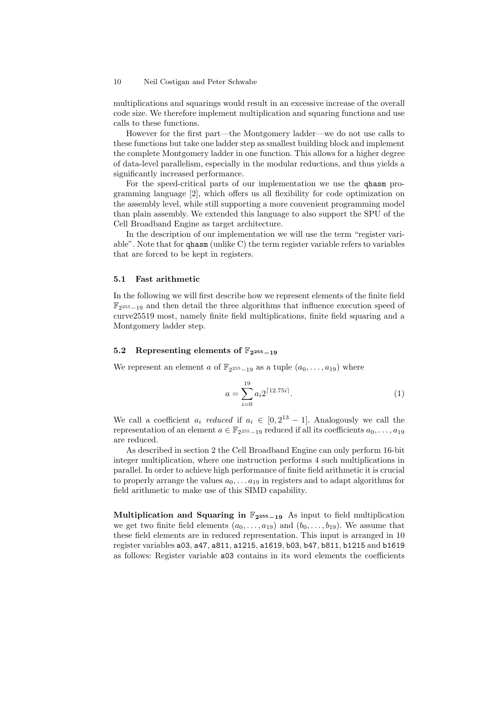multiplications and squarings would result in an excessive increase of the overall code size. We therefore implement multiplication and squaring functions and use calls to these functions.

However for the first part—the Montgomery ladder—we do not use calls to these functions but take one ladder step as smallest building block and implement the complete Montgomery ladder in one function. This allows for a higher degree of data-level parallelism, especially in the modular reductions, and thus yields a significantly increased performance.

For the speed-critical parts of our implementation we use the qhasm programming language [2], which offers us all flexibility for code optimization on the assembly level, while still supporting a more convenient programming model than plain assembly. We extended this language to also support the SPU of the Cell Broadband Engine as target architecture.

In the description of our implementation we will use the term "register variable". Note that for qhasm (unlike C) the term register variable refers to variables that are forced to be kept in registers.

### 5.1 Fast arithmetic

In the following we will first describe how we represent elements of the finite field  $\mathbb{F}_{2^{255}-19}$  and then detail the three algorithms that influence execution speed of curve25519 most, namely finite field multiplications, finite field squaring and a Montgomery ladder step.

### 5.2 Representing elements of  $\mathbb{F}_{2^{255}-19}$

We represent an element a of  $\mathbb{F}_{2^{255}-19}$  as a tuple  $(a_0, \ldots, a_{19})$  where

$$
a = \sum_{i=0}^{19} a_i 2^{\lceil 12.75i \rceil}.
$$
 (1)

We call a coefficient  $a_i$  reduced if  $a_i \in [0, 2^{13} - 1]$ . Analogously we call the representation of an element  $a \in \mathbb{F}_{2^{255}-19}$  reduced if all its coefficients  $a_0, \ldots, a_{19}$ are reduced.

As described in section 2 the Cell Broadband Engine can only perform 16-bit integer multiplication, where one instruction performs 4 such multiplications in parallel. In order to achieve high performance of finite field arithmetic it is crucial to properly arrange the values  $a_0, \ldots a_{19}$  in registers and to adapt algorithms for field arithmetic to make use of this SIMD capability.

Multiplication and Squaring in  $\mathbb{F}_{2^{255}-19}$  As input to field multiplication we get two finite field elements  $(a_0, \ldots, a_{19})$  and  $(b_0, \ldots, b_{19})$ . We assume that these field elements are in reduced representation. This input is arranged in 10 register variables a03, a47, a811, a1215, a1619, b03, b47, b811, b1215 and b1619 as follows: Register variable a03 contains in its word elements the coefficients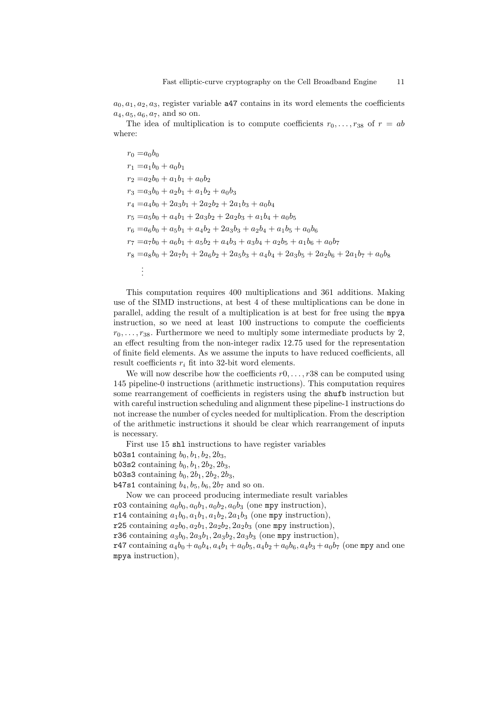$a_0, a_1, a_2, a_3$ , register variable  $a47$  contains in its word elements the coefficients  $a_4, a_5, a_6, a_7$ , and so on.

The idea of multiplication is to compute coefficients  $r_0, \ldots, r_{38}$  of  $r = ab$ where:

$$
r_0 = a_0b_0
$$
  
\n
$$
r_1 = a_1b_0 + a_0b_1
$$
  
\n
$$
r_2 = a_2b_0 + a_1b_1 + a_0b_2
$$
  
\n
$$
r_3 = a_3b_0 + a_2b_1 + a_1b_2 + a_0b_3
$$
  
\n
$$
r_4 = a_4b_0 + 2a_3b_1 + 2a_2b_2 + 2a_1b_3 + a_0b_4
$$
  
\n
$$
r_5 = a_5b_0 + a_4b_1 + 2a_3b_2 + 2a_2b_3 + a_1b_4 + a_0b_5
$$
  
\n
$$
r_6 = a_6b_0 + a_5b_1 + a_4b_2 + 2a_3b_3 + a_2b_4 + a_1b_5 + a_0b_6
$$
  
\n
$$
r_7 = a_7b_0 + a_6b_1 + a_5b_2 + a_4b_3 + a_3b_4 + a_2b_5 + a_1b_6 + a_0b_7
$$
  
\n
$$
r_8 = a_8b_0 + 2a_7b_1 + 2a_6b_2 + 2a_5b_3 + a_4b_4 + 2a_3b_5 + 2a_2b_6 + 2a_1b_7 + a_0b_8
$$
  
\n
$$
\vdots
$$

This computation requires 400 multiplications and 361 additions. Making use of the SIMD instructions, at best 4 of these multiplications can be done in parallel, adding the result of a multiplication is at best for free using the mpya instruction, so we need at least 100 instructions to compute the coefficients  $r_0, \ldots, r_{38}$ . Furthermore we need to multiply some intermediate products by 2, an effect resulting from the non-integer radix 12.75 used for the representation of finite field elements. As we assume the inputs to have reduced coefficients, all result coefficients  $r_i$  fit into 32-bit word elements.

We will now describe how the coefficients  $r0, \ldots, r38$  can be computed using 145 pipeline-0 instructions (arithmetic instructions). This computation requires some rearrangement of coefficients in registers using the shufb instruction but with careful instruction scheduling and alignment these pipeline-1 instructions do not increase the number of cycles needed for multiplication. From the description of the arithmetic instructions it should be clear which rearrangement of inputs is necessary.

First use 15 shl instructions to have register variables

**b03s1** containing  $b_0, b_1, b_2, 2b_3,$ 

**b03s2** containing  $b_0, b_1, 2b_2, 2b_3$ ,

 $b03s3$  containing  $b_0$ ,  $2b_1$ ,  $2b_2$ ,  $2b_3$ ,

**b47s1** containing  $b_4$ ,  $b_5$ ,  $b_6$ ,  $2b_7$  and so on.

Now we can proceed producing intermediate result variables

r03 containing  $a_0b_0$ ,  $a_0b_1$ ,  $a_0b_2$ ,  $a_0b_3$  (one mpy instruction),

r14 containing  $a_1b_0$ ,  $a_1b_1$ ,  $a_1b_2$ ,  $2a_1b_3$  (one mpy instruction),

r25 containing  $a_2b_0$ ,  $a_2b_1$ ,  $2a_2b_2$ ,  $2a_2b_3$  (one mpy instruction),

r36 containing  $a_3b_0$ ,  $2a_3b_1$ ,  $2a_3b_2$ ,  $2a_3b_3$  (one mpy instruction),

r47 containing  $a_4b_0 + a_0b_4$ ,  $a_4b_1 + a_0b_5$ ,  $a_4b_2 + a_0b_6$ ,  $a_4b_3 + a_0b_7$  (one mpy and one mpya instruction),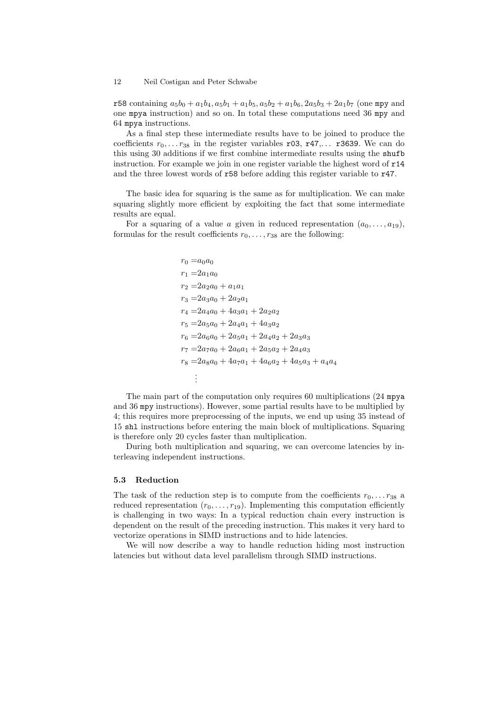r58 containing  $a_5b_0 + a_1b_4$ ,  $a_5b_1 + a_1b_5$ ,  $a_5b_2 + a_1b_6$ ,  $2a_5b_3 + 2a_1b_7$  (one mpy and one mpya instruction) and so on. In total these computations need 36 mpy and 64 mpya instructions.

As a final step these intermediate results have to be joined to produce the coefficients  $r_0, \ldots r_{38}$  in the register variables r03, r47,... r3639. We can do this using 30 additions if we first combine intermediate results using the shufb instruction. For example we join in one register variable the highest word of r14 and the three lowest words of r58 before adding this register variable to r47.

The basic idea for squaring is the same as for multiplication. We can make squaring slightly more efficient by exploiting the fact that some intermediate results are equal.

For a squaring of a value a given in reduced representation  $(a_0, \ldots, a_{19})$ , formulas for the result coefficients  $r_0, \ldots, r_{38}$  are the following:

```
r_0 = a_0 a_0r_1 = 2a_1a_0r_2 = 2a_2a_0 + a_1a_1r_3 = 2a_3a_0 + 2a_2a_1r_4 = 2a_4a_0 + 4a_3a_1 + 2a_2a_2r_5 = 2a_5a_0 + 2a_4a_1 + 4a_3a_2r_6 = 2a_6a_0 + 2a_5a_1 + 2a_4a_2 + 2a_3a_3r_7 = 2a_7a_0 + 2a_6a_1 + 2a_5a_2 + 2a_4a_3r_8 = 2a_8a_0 + 4a_7a_1 + 4a_6a_2 + 4a_5a_3 + a_4a_4.
.
.
```
The main part of the computation only requires 60 multiplications (24 mpya and 36 mpy instructions). However, some partial results have to be multiplied by 4; this requires more preprocessing of the inputs, we end up using 35 instead of 15 shl instructions before entering the main block of multiplications. Squaring is therefore only 20 cycles faster than multiplication.

During both multiplication and squaring, we can overcome latencies by interleaving independent instructions.

#### 5.3 Reduction

The task of the reduction step is to compute from the coefficients  $r_0, \ldots r_{38}$  a reduced representation  $(r_0, \ldots, r_{19})$ . Implementing this computation efficiently is challenging in two ways: In a typical reduction chain every instruction is dependent on the result of the preceding instruction. This makes it very hard to vectorize operations in SIMD instructions and to hide latencies.

We will now describe a way to handle reduction hiding most instruction latencies but without data level parallelism through SIMD instructions.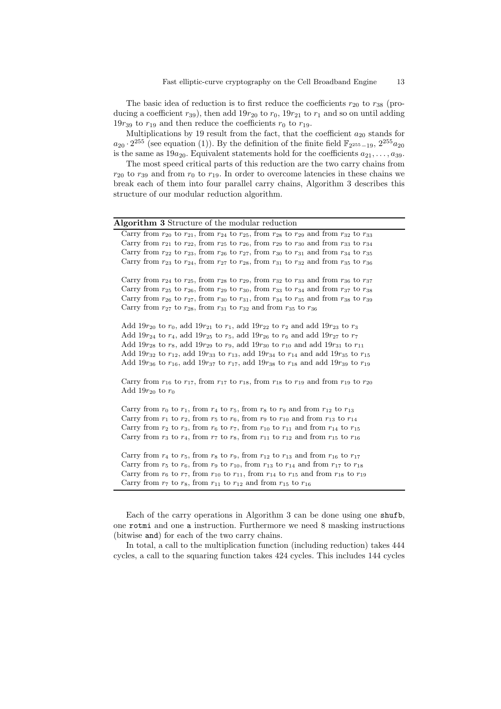The basic idea of reduction is to first reduce the coefficients  $r_{20}$  to  $r_{38}$  (producing a coefficient  $r_{39}$ ), then add  $19r_{20}$  to  $r_0$ ,  $19r_{21}$  to  $r_1$  and so on until adding 19 $r_{39}$  to  $r_{19}$  and then reduce the coefficients  $r_0$  to  $r_{19}$ .

Multiplications by 19 result from the fact, that the coefficient  $a_{20}$  stands for  $a_{20} \cdot 2^{255}$  (see equation (1)). By the definition of the finite field  $\mathbb{F}_{2^{255}-19}$ ,  $2^{255}a_{20}$ is the same as 19 $a_{20}$ . Equivalent statements hold for the coefficients  $a_{21}, \ldots, a_{39}$ .

The most speed critical parts of this reduction are the two carry chains from  $r_{20}$  to  $r_{39}$  and from  $r_0$  to  $r_{19}$ . In order to overcome latencies in these chains we break each of them into four parallel carry chains, Algorithm 3 describes this structure of our modular reduction algorithm.

#### Algorithm 3 Structure of the modular reduction

Carry from  $r_{20}$  to  $r_{21}$ , from  $r_{24}$  to  $r_{25}$ , from  $r_{28}$  to  $r_{29}$  and from  $r_{32}$  to  $r_{33}$ Carry from  $r_{21}$  to  $r_{22}$ , from  $r_{25}$  to  $r_{26}$ , from  $r_{29}$  to  $r_{30}$  and from  $r_{33}$  to  $r_{34}$ Carry from  $r_{22}$  to  $r_{23}$ , from  $r_{26}$  to  $r_{27}$ , from  $r_{30}$  to  $r_{31}$  and from  $r_{34}$  to  $r_{35}$ Carry from  $r_{23}$  to  $r_{24}$ , from  $r_{27}$  to  $r_{28}$ , from  $r_{31}$  to  $r_{32}$  and from  $r_{35}$  to  $r_{36}$ 

Carry from  $r_{24}$  to  $r_{25}$ , from  $r_{28}$  to  $r_{29}$ , from  $r_{32}$  to  $r_{33}$  and from  $r_{36}$  to  $r_{37}$ Carry from  $r_{25}$  to  $r_{26}$ , from  $r_{29}$  to  $r_{30}$ , from  $r_{33}$  to  $r_{34}$  and from  $r_{37}$  to  $r_{38}$ Carry from  $r_{26}$  to  $r_{27}$ , from  $r_{30}$  to  $r_{31}$ , from  $r_{34}$  to  $r_{35}$  and from  $r_{38}$  to  $r_{39}$ Carry from  $r_{27}$  to  $r_{28}$ , from  $r_{31}$  to  $r_{32}$  and from  $r_{35}$  to  $r_{36}$ 

Add 19 $r_{20}$  to  $r_0$ , add 19 $r_{21}$  to  $r_1$ , add 19 $r_{22}$  to  $r_2$  and add 19 $r_{23}$  to  $r_3$ Add 19 $r_{24}$  to  $r_4$ , add 19 $r_{25}$  to  $r_5$ , add 19 $r_{26}$  to  $r_6$  and add 19 $r_{27}$  to  $r_7$ Add 19 $r_{28}$  to  $r_8$ , add 19 $r_{29}$  to  $r_9$ , add 19 $r_{30}$  to  $r_{10}$  and add 19 $r_{31}$  to  $r_{11}$ Add 19 $r_{32}$  to  $r_{12}$ , add 19 $r_{33}$  to  $r_{13}$ , add 19 $r_{34}$  to  $r_{14}$  and add 19 $r_{35}$  to  $r_{15}$ Add 19 $r_{36}$  to  $r_{16}$ , add 19 $r_{37}$  to  $r_{17}$ , add 19 $r_{38}$  to  $r_{18}$  and add 19 $r_{39}$  to  $r_{19}$ 

Carry from  $r_{16}$  to  $r_{17}$ , from  $r_{17}$  to  $r_{18}$ , from  $r_{18}$  to  $r_{19}$  and from  $r_{19}$  to  $r_{20}$ Add  $19r_{20}$  to  $r_0$ 

Carry from  $r_0$  to  $r_1$ , from  $r_4$  to  $r_5$ , from  $r_8$  to  $r_9$  and from  $r_{12}$  to  $r_{13}$ Carry from  $r_1$  to  $r_2$ , from  $r_5$  to  $r_6$ , from  $r_9$  to  $r_{10}$  and from  $r_{13}$  to  $r_{14}$ Carry from  $r_2$  to  $r_3$ , from  $r_6$  to  $r_7$ , from  $r_{10}$  to  $r_{11}$  and from  $r_{14}$  to  $r_{15}$ Carry from  $r_3$  to  $r_4$ , from  $r_7$  to  $r_8$ , from  $r_{11}$  to  $r_{12}$  and from  $r_{15}$  to  $r_{16}$ 

Carry from  $r_4$  to  $r_5$ , from  $r_8$  to  $r_9$ , from  $r_{12}$  to  $r_{13}$  and from  $r_{16}$  to  $r_{17}$ Carry from  $r_5$  to  $r_6$ , from  $r_9$  to  $r_{10}$ , from  $r_{13}$  to  $r_{14}$  and from  $r_{17}$  to  $r_{18}$ Carry from  $r_6$  to  $r_7$ , from  $r_{10}$  to  $r_{11}$ , from  $r_{14}$  to  $r_{15}$  and from  $r_{18}$  to  $r_{19}$ Carry from  $r_7$  to  $r_8$ , from  $r_{11}$  to  $r_{12}$  and from  $r_{15}$  to  $r_{16}$ 

Each of the carry operations in Algorithm 3 can be done using one shufb, one rotmi and one a instruction. Furthermore we need 8 masking instructions (bitwise and) for each of the two carry chains.

In total, a call to the multiplication function (including reduction) takes 444 cycles, a call to the squaring function takes 424 cycles. This includes 144 cycles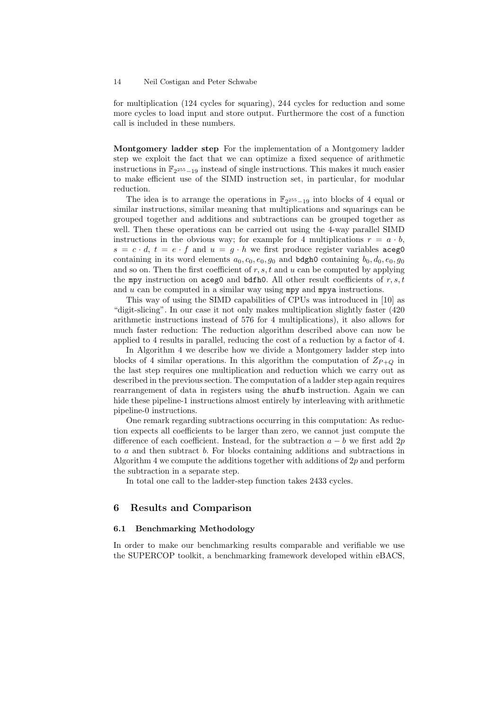for multiplication (124 cycles for squaring), 244 cycles for reduction and some more cycles to load input and store output. Furthermore the cost of a function call is included in these numbers.

Montgomery ladder step For the implementation of a Montgomery ladder step we exploit the fact that we can optimize a fixed sequence of arithmetic instructions in  $\mathbb{F}_{2^{255}-19}$  instead of single instructions. This makes it much easier to make efficient use of the SIMD instruction set, in particular, for modular reduction.

The idea is to arrange the operations in  $\mathbb{F}_{2^{255}-19}$  into blocks of 4 equal or similar instructions, similar meaning that multiplications and squarings can be grouped together and additions and subtractions can be grouped together as well. Then these operations can be carried out using the 4-way parallel SIMD instructions in the obvious way; for example for 4 multiplications  $r = a \cdot b$ ,  $s = c \cdot d$ ,  $t = e \cdot f$  and  $u = g \cdot h$  we first produce register variables acego containing in its word elements  $a_0, c_0, e_0, g_0$  and **bdgh0** containing  $b_0, d_0, e_0, g_0$ and so on. Then the first coefficient of  $r, s, t$  and u can be computed by applying the mpy instruction on acego and bdfh0. All other result coefficients of  $r, s, t$ and  $u$  can be computed in a similar way using mpy and mpya instructions.

This way of using the SIMD capabilities of CPUs was introduced in [10] as "digit-slicing". In our case it not only makes multiplication slightly faster (420 arithmetic instructions instead of 576 for 4 multiplications), it also allows for much faster reduction: The reduction algorithm described above can now be applied to 4 results in parallel, reducing the cost of a reduction by a factor of 4.

In Algorithm 4 we describe how we divide a Montgomery ladder step into blocks of 4 similar operations. In this algorithm the computation of  $Z_{P+Q}$  in the last step requires one multiplication and reduction which we carry out as described in the previous section. The computation of a ladder step again requires rearrangement of data in registers using the shufb instruction. Again we can hide these pipeline-1 instructions almost entirely by interleaving with arithmetic pipeline-0 instructions.

One remark regarding subtractions occurring in this computation: As reduction expects all coefficients to be larger than zero, we cannot just compute the difference of each coefficient. Instead, for the subtraction  $a - b$  we first add 2p to a and then subtract b. For blocks containing additions and subtractions in Algorithm 4 we compute the additions together with additions of  $2p$  and perform the subtraction in a separate step.

In total one call to the ladder-step function takes 2433 cycles.

### 6 Results and Comparison

### 6.1 Benchmarking Methodology

In order to make our benchmarking results comparable and verifiable we use the SUPERCOP toolkit, a benchmarking framework developed within eBACS,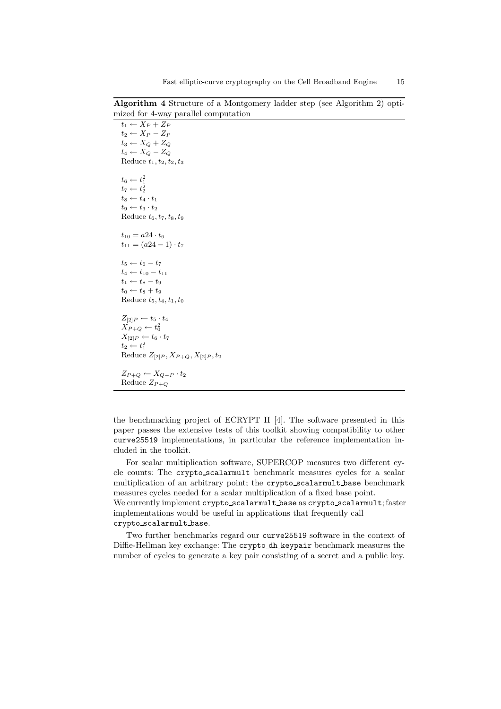Algorithm 4 Structure of a Montgomery ladder step (see Algorithm 2) optimized for 4-way parallel computation

 $t_1 \leftarrow X_P + Z_P$  $t_2 \leftarrow X_P - Z_P$  $t_3 \leftarrow X_Q + Z_Q$  $t_4 \leftarrow X_Q - Z_Q$ Reduce  $t_1, t_2, t_2, t_3$  $t_6 \leftarrow t_1^2$  $t_7 \leftarrow t_2^2$  $t_8 \leftarrow t_4 \cdot t_1$  $t_9 \leftarrow t_3 \cdot t_2$ Reduce  $t_6, t_7, t_8, t_9$  $t_{10} = a24 \cdot t_6$  $t_{11} = (a24 - 1) \cdot t_7$  $t_5 \leftarrow t_6 - t_7$  $t_4 \leftarrow t_{10} - t_{11}$  $t_1 \leftarrow t_8 - t_9$  $t_0 \leftarrow t_8 + t_9$ Reduce  $t_5, t_4, t_1, t_0$  $Z_{[2]P} \leftarrow t_5 \cdot t_4$  $X_{P+Q} \leftarrow t_0^2$  $X_{[2]P} \leftarrow t_6 \cdot t_7$  $t_2 \leftarrow t_1^2$ Reduce  $Z_{[2]P}, X_{P+Q}, X_{[2]P}, t_2$  $Z_{P+Q} \leftarrow X_{Q-P} \cdot t_2$ Reduce  $Z_{P+Q}$ 

the benchmarking project of ECRYPT II [4]. The software presented in this paper passes the extensive tests of this toolkit showing compatibility to other curve25519 implementations, in particular the reference implementation included in the toolkit.

For scalar multiplication software, SUPERCOP measures two different cycle counts: The crypto scalarmult benchmark measures cycles for a scalar multiplication of an arbitrary point; the crypto scalarmult base benchmark measures cycles needed for a scalar multiplication of a fixed base point. We currently implement crypto\_scalarmult\_base as crypto\_scalarmult; faster implementations would be useful in applications that frequently call crypto scalarmult base.

Two further benchmarks regard our curve25519 software in the context of Diffie-Hellman key exchange: The crypto dh keypair benchmark measures the number of cycles to generate a key pair consisting of a secret and a public key.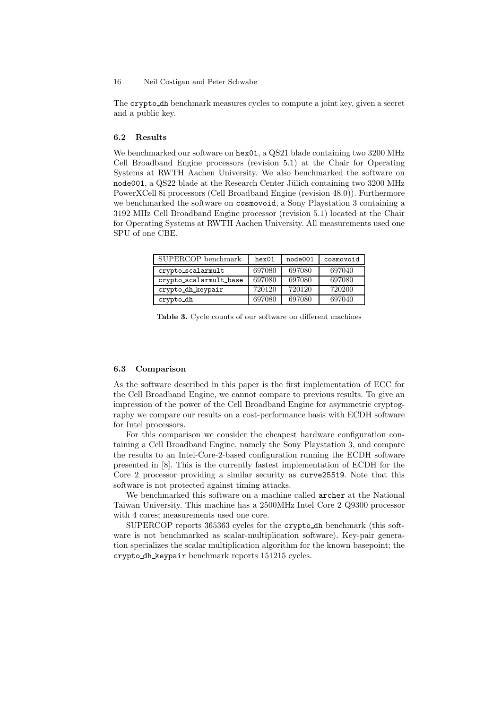The crypto dh benchmark measures cycles to compute a joint key, given a secret and a public key.

### 6.2 Results

We benchmarked our software on hex01, a QS21 blade containing two 3200 MHz Cell Broadband Engine processors (revision 5.1) at the Chair for Operating Systems at RWTH Aachen University. We also benchmarked the software on node001, a QS22 blade at the Research Center Jülich containing two 3200 MHz PowerXCell 8i processors (Cell Broadband Engine (revision 48.0)). Furthermore we benchmarked the software on cosmovoid, a Sony Playstation 3 containing a 3192 MHz Cell Broadband Engine processor (revision 5.1) located at the Chair for Operating Systems at RWTH Aachen University. All measurements used one SPU of one CBE.

| SUPERCOP benchmark     | hex01  | node001 | cosmovoid |
|------------------------|--------|---------|-----------|
| crypto_scalarmult      | 697080 | 697080  | 697040    |
| crypto_scalarmult_base | 697080 | 697080  | 697080    |
| crypto_dh_keypair      | 720120 | 720120  | 720200    |
| crypto_dh              | 697080 | 697080  | 697040    |

Table 3. Cycle counts of our software on different machines

#### 6.3 Comparison

As the software described in this paper is the first implementation of ECC for the Cell Broadband Engine, we cannot compare to previous results. To give an impression of the power of the Cell Broadband Engine for asymmetric cryptography we compare our results on a cost-performance basis with ECDH software for Intel processors.

For this comparison we consider the cheapest hardware configuration containing a Cell Broadband Engine, namely the Sony Playstation 3, and compare the results to an Intel-Core-2-based configuration running the ECDH software presented in [8]. This is the currently fastest implementation of ECDH for the Core 2 processor providing a similar security as curve25519. Note that this software is not protected against timing attacks.

We benchmarked this software on a machine called archer at the National Taiwan University. This machine has a 2500MHz Intel Core 2 Q9300 processor with 4 cores; measurements used one core.

SUPERCOP reports 365363 cycles for the crypto dh benchmark (this software is not benchmarked as scalar-multiplication software). Key-pair generation specializes the scalar multiplication algorithm for the known basepoint; the crypto dh keypair benchmark reports 151215 cycles.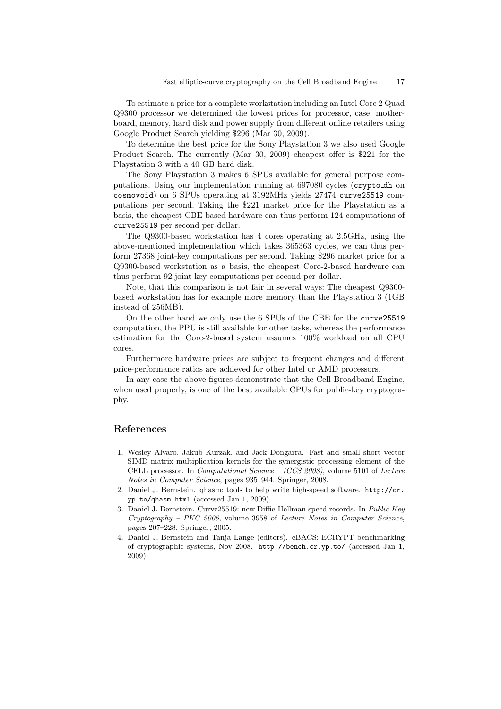To estimate a price for a complete workstation including an Intel Core 2 Quad Q9300 processor we determined the lowest prices for processor, case, motherboard, memory, hard disk and power supply from different online retailers using Google Product Search yielding \$296 (Mar 30, 2009).

To determine the best price for the Sony Playstation 3 we also used Google Product Search. The currently (Mar 30, 2009) cheapest offer is \$221 for the Playstation 3 with a 40 GB hard disk.

The Sony Playstation 3 makes 6 SPUs available for general purpose computations. Using our implementation running at 697080 cycles (crypto dh on cosmovoid) on 6 SPUs operating at 3192MHz yields 27474 curve25519 computations per second. Taking the \$221 market price for the Playstation as a basis, the cheapest CBE-based hardware can thus perform 124 computations of curve25519 per second per dollar.

The Q9300-based workstation has 4 cores operating at 2.5GHz, using the above-mentioned implementation which takes 365363 cycles, we can thus perform 27368 joint-key computations per second. Taking \$296 market price for a Q9300-based workstation as a basis, the cheapest Core-2-based hardware can thus perform 92 joint-key computations per second per dollar.

Note, that this comparison is not fair in several ways: The cheapest Q9300 based workstation has for example more memory than the Playstation 3 (1GB instead of 256MB).

On the other hand we only use the 6 SPUs of the CBE for the curve25519 computation, the PPU is still available for other tasks, whereas the performance estimation for the Core-2-based system assumes 100% workload on all CPU cores.

Furthermore hardware prices are subject to frequent changes and different price-performance ratios are achieved for other Intel or AMD processors.

In any case the above figures demonstrate that the Cell Broadband Engine, when used properly, is one of the best available CPUs for public-key cryptography.

# References

- 1. Wesley Alvaro, Jakub Kurzak, and Jack Dongarra. Fast and small short vector SIMD matrix multiplication kernels for the synergistic processing element of the CELL processor. In Computational Science – ICCS 2008), volume 5101 of Lecture Notes in Computer Science, pages 935–944. Springer, 2008.
- 2. Daniel J. Bernstein. qhasm: tools to help write high-speed software. http://cr. yp.to/qhasm.html (accessed Jan 1, 2009).
- 3. Daniel J. Bernstein. Curve25519: new Diffie-Hellman speed records. In Public Key Cryptography – PKC 2006, volume 3958 of Lecture Notes in Computer Science, pages 207–228. Springer, 2005.
- 4. Daniel J. Bernstein and Tanja Lange (editors). eBACS: ECRYPT benchmarking of cryptographic systems, Nov 2008. http://bench.cr.yp.to/ (accessed Jan 1, 2009).